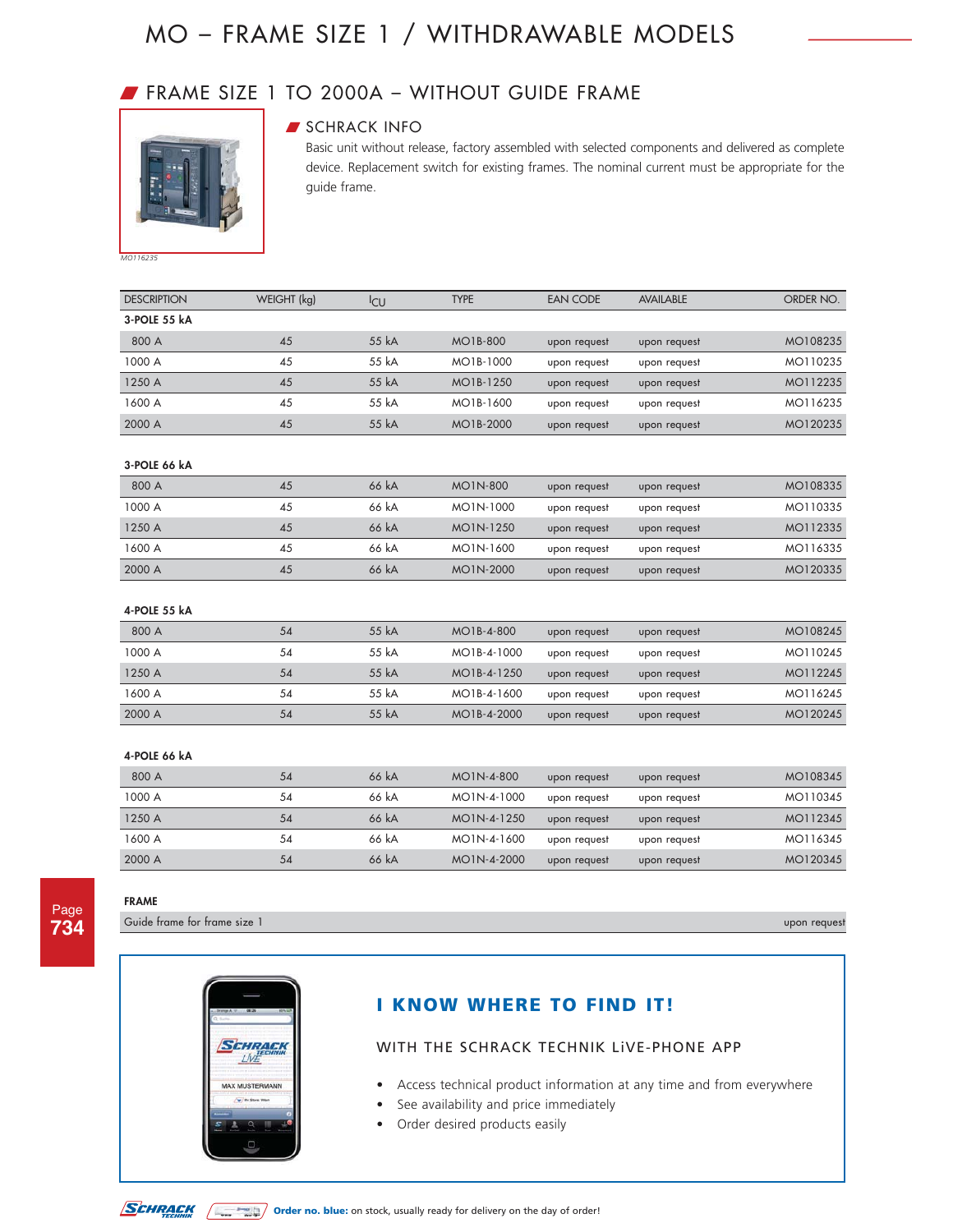### W FRAME SIZE 1 TO 2000A – WITHOUT GUIDE FRAME



### **SCHRACK INFO**

Basic unit without release, factory assembled with selected components and delivered as complete device. Replacement switch for existing frames. The nominal current must be appropriate for the guide frame.

*MO116235*

| <b>DESCRIPTION</b> | WEIGHT (kg) | <sup>I</sup> CU | <b>TYPE</b>     | <b>EAN CODE</b> | <b>AVAILABLE</b> | ORDER NO. |
|--------------------|-------------|-----------------|-----------------|-----------------|------------------|-----------|
| 3-POLE 55 kA       |             |                 |                 |                 |                  |           |
| 800 A              | 45          | 55 kA           | <b>MO1B-800</b> | upon request    | upon request     | MO108235  |
| 1000 A             | 45          | 55 kA           | MO1B-1000       | upon request    | upon request     | MO110235  |
| 1250 A             | 45          | 55 kA           | MO1B-1250       | upon request    | upon request     | MO112235  |
| 1600 A             | 45          | 55 kA           | MO1B-1600       | upon request    | upon request     | MO116235  |
| 2000 A             | 45          | 55 kA           | MO1B-2000       | upon request    | upon request     | MO120235  |
|                    |             |                 |                 |                 |                  |           |
| 3-POLE 66 kA       |             |                 |                 |                 |                  |           |
| 800 A              | 45          | 66 kA           | <b>MO1N-800</b> | upon request    | upon request     | MO108335  |
| 1000 A             | 45          | 66 kA           | MO1N-1000       | upon request    | upon request     | MO110335  |
| 1250 A             | 45          | 66 kA           | MO1N-1250       | upon request    | upon request     | MO112335  |
| 1600 A             | 45          | 66 kA           | MO1N-1600       | upon request    | upon request     | MO116335  |
| 2000 A             | 45          | 66 kA           | MO1N-2000       | upon request    | upon request     | MO120335  |
|                    |             |                 |                 |                 |                  |           |
| 4-POLE 55 kA       |             |                 |                 |                 |                  |           |
| 800 A              | 54          | 55 kA           | MO1B-4-800      | upon request    | upon request     | MO108245  |
| 1000 A             | 54          | 55 kA           | MO1B-4-1000     | upon request    | upon request     | MO110245  |
| 1250 A             | 54          | 55 kA           | MO1B-4-1250     | upon request    | upon request     | MO112245  |
| 1600 A             | 54          | 55 kA           | MO1B-4-1600     | upon request    | upon request     | MO116245  |
| 2000 A             | 54          | 55 kA           | MO1B-4-2000     | upon request    | upon request     | MO120245  |
|                    |             |                 |                 |                 |                  |           |
| 4-POLE 66 kA       |             |                 |                 |                 |                  |           |
| 800 A              | 54          | 66 kA           | MO1N-4-800      | upon request    | upon request     | MO108345  |

| 800 A  | 54 | 66 kA | MO1N-4-800  | upon request | upon request | MO108345 |
|--------|----|-------|-------------|--------------|--------------|----------|
| 1000 A | 54 | 66 kA | MO1N-4-1000 | upon request | upon request | MO110345 |
| 1250 A | 54 | 66 kA | MO1N-4-1250 | upon request | upon request | MO112345 |
| 1600 A | 54 | 66 kA | MO1N-4-1600 | upon request | upon request | MO116345 |
| 2000 A | 54 | 66 kA | MO1N-4-2000 | upon request | upon request | MO120345 |

### Page **734**

**FRAME**

Guide frame for frame size 1 upon request

| 06:06                 |  |
|-----------------------|--|
|                       |  |
|                       |  |
| CHRA                  |  |
|                       |  |
| <b>MAX MUSTERMANN</b> |  |
| <b>Store: Went</b>    |  |
|                       |  |
|                       |  |
|                       |  |

### **I KNOW WHERE TO FIND IT!**

- Access technical product information at any time and from everywhere
- See availability and price immediately
- Order desired products easily

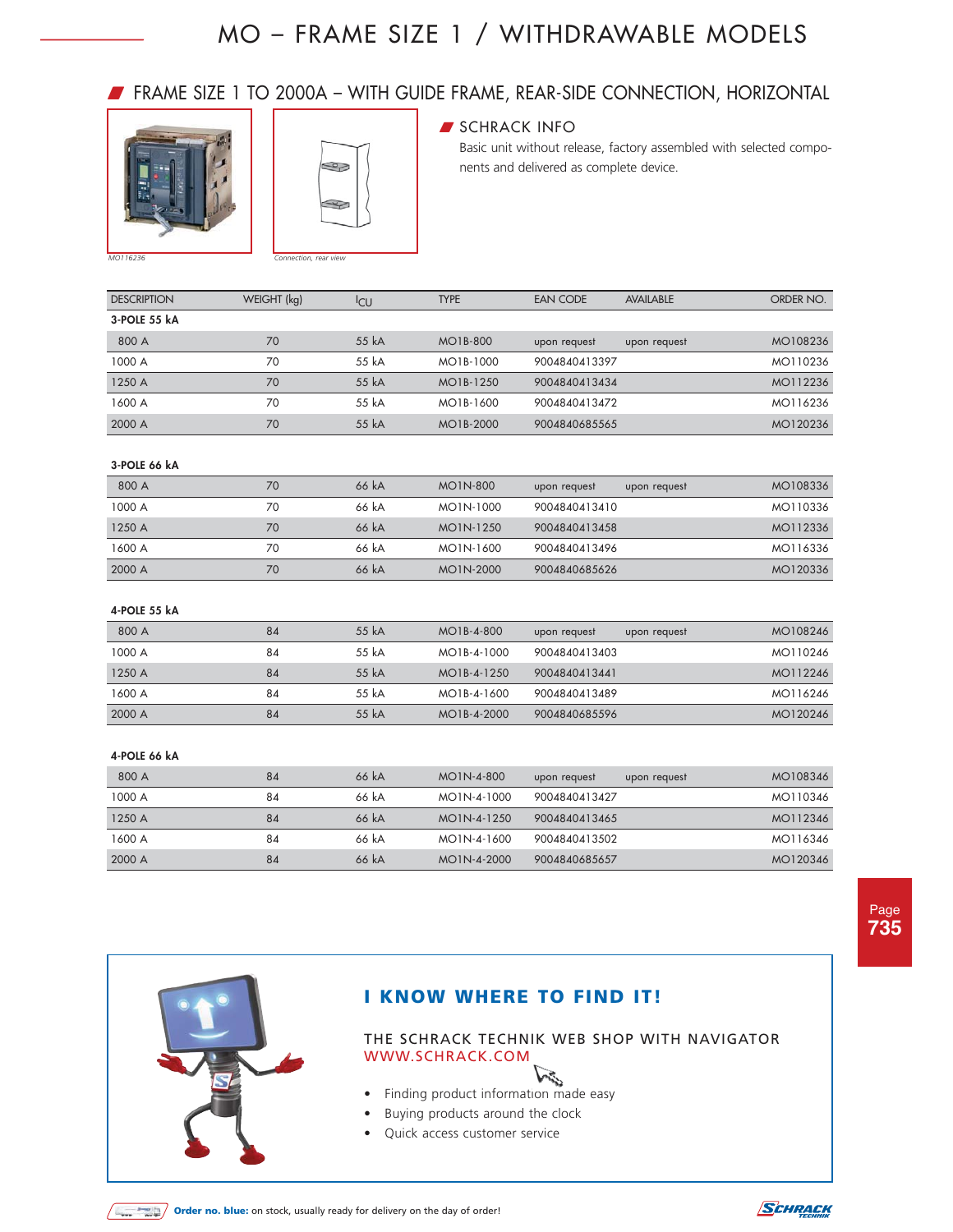### W FRAME SIZE 1 TO 2000A – WITH GUIDE FRAME, REAR-SIDE CONNECTION, HORIZONTAL





### **SCHRACK INFO**

Basic unit without release, factory assembled with selected components and delivered as complete device.

| <b>DESCRIPTION</b> | WEIGHT (kg) | <sup>I</sup> CU | <b>TYPE</b> | EAN CODE<br><b>AVAILABLE</b> | ORDER NO. |
|--------------------|-------------|-----------------|-------------|------------------------------|-----------|
| 3-POLE 55 kA       |             |                 |             |                              |           |
| 800 A              | 70          | 55 kA           | MO1B-800    | upon request<br>upon request | MO108236  |
| 1000 A             | 70          | 55 kA           | MO1B-1000   | 9004840413397                | MO110236  |
| 1250 A             | 70          | 55 kA           | MO1B-1250   | 9004840413434                | MO112236  |
| 1600 A             | 70          | 55 kA           | MO1B-1600   | 9004840413472                | MO116236  |
| 2000 A             | 70          | 55 kA           | MO1B-2000   | 9004840685565                | MO120236  |

#### **3-POLE 66 kA**

| 800 A  | 70 | 66 kA | MO1N-800  | upon request  | upon request | MO108336 |
|--------|----|-------|-----------|---------------|--------------|----------|
| 1000 A | 70 | 66 kA | MO1N-1000 | 9004840413410 |              | MO110336 |
| 1250 A | 70 | 66 kA | MO1N-1250 | 9004840413458 |              | MO112336 |
| 1600 A | 70 | 66 kA | MO1N-1600 | 9004840413496 |              | MO116336 |
| 2000 A | 70 | 66 kA | MO1N-2000 | 9004840685626 |              | MO120336 |

#### **4-POLE 55 kA**

| 800 A  | 84 | 55 kA | MO1B-4-800  | upon request  | upon request | MO108246 |
|--------|----|-------|-------------|---------------|--------------|----------|
| 1000 A | 84 | 55 kA | MO1B-4-1000 | 9004840413403 |              | MO110246 |
| 1250 A | 84 | 55 kA | MO1B-4-1250 | 9004840413441 |              | MO112246 |
| 1600 A | 84 | 55 kA | MO1B-4-1600 | 9004840413489 |              | MO116246 |
| 2000 A | 84 | 55 kA | MO1B-4-2000 | 9004840685596 |              | MO120246 |

#### **4-POLE 66 kA**

| 800 A  | 84 | 66 kA | MO1N-4-800  | upon request<br>upon request | MO108346 |
|--------|----|-------|-------------|------------------------------|----------|
| 1000 A | 84 | 66 kA | MO1N-4-1000 | 9004840413427                | MO110346 |
| 1250 A | 84 | 66 kA | MO1N-4-1250 | 9004840413465                | MO112346 |
| 1600 A | 84 | 66 kA | MO1N-4-1600 | 9004840413502                | MO116346 |
| 2000 A | 84 | 66 kA | MO1N-4-2000 | 9004840685657                | MO120346 |



### **I KNOW WHERE TO FIND IT!**

- Finding product information made easy
- Buying products around the clock
- Quick access customer service



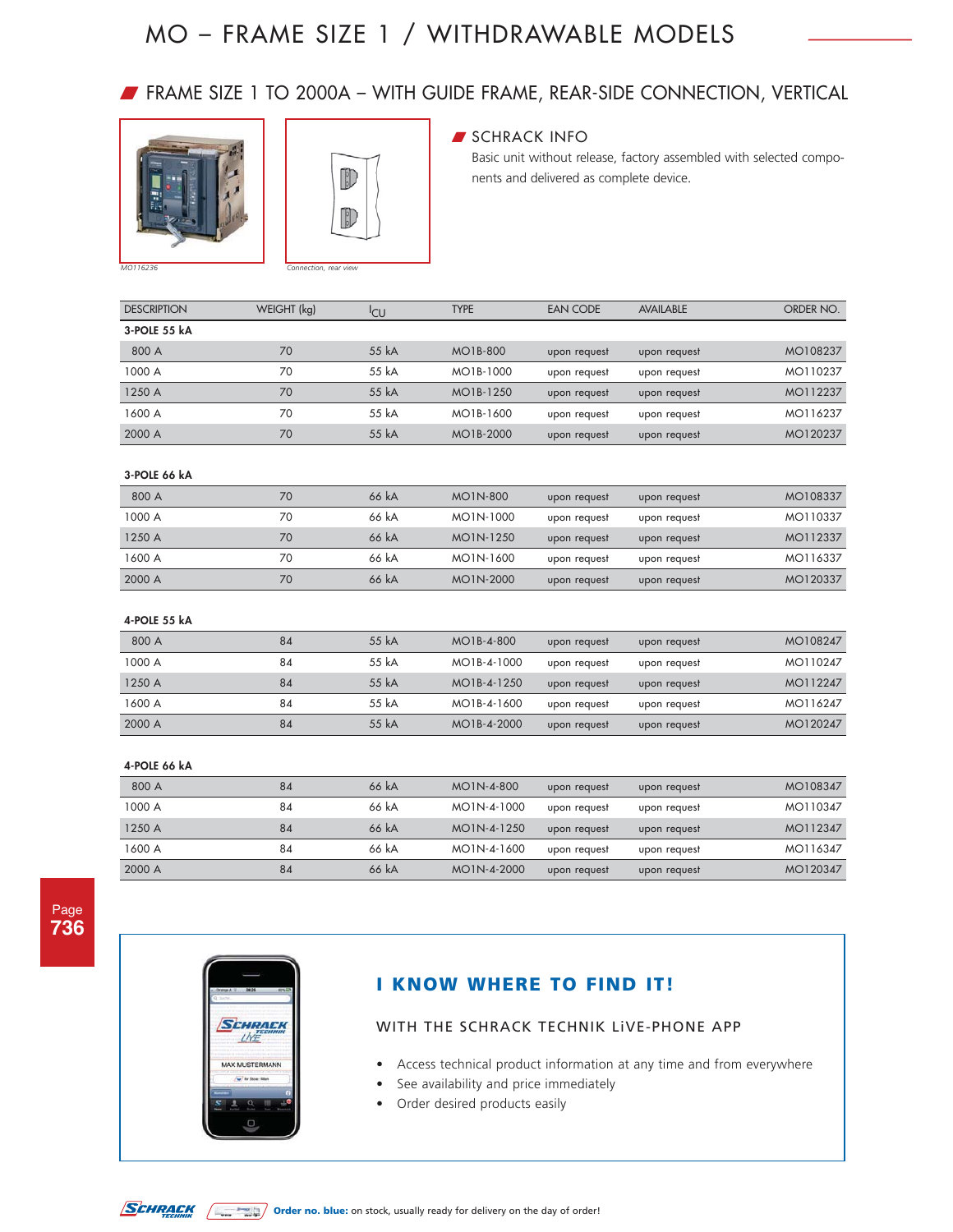### W FRAME SIZE 1 TO 2000A – WITH GUIDE FRAME, REAR-SIDE CONNECTION, VERTICAL





### SCHRACK INFO

Basic unit without release, factory assembled with selected components and delivered as complete device.

| <b>DESCRIPTION</b> | WEIGHT (kg) | <sup>I</sup> CU | <b>TYPE</b> | <b>EAN CODE</b> | <b>AVAILABLE</b> | ORDER NO. |
|--------------------|-------------|-----------------|-------------|-----------------|------------------|-----------|
| 3-POLE 55 kA       |             |                 |             |                 |                  |           |
| 800 A              | 70          | 55 kA           | MO1B-800    | upon request    | upon request     | MO108237  |
| 1000 A             | 70          | 55 kA           | MO1B-1000   | upon request    | upon request     | MO110237  |
| 1250 A             | 70          | 55 kA           | MO1B-1250   | upon request    | upon request     | MO112237  |
| 1600 A             | 70          | 55 kA           | MO1B-1600   | upon request    | upon request     | MO116237  |
| 2000 A             | 70          | 55 kA           | MO1B-2000   | upon request    | upon request     | MO120237  |

#### **3-POLE 66 kA**

| 800 A  | 70 | 66 kA | MO1N-800  | upon request | upon request | MO108337 |
|--------|----|-------|-----------|--------------|--------------|----------|
| 1000 A | 70 | 66 kA | MO1N-1000 | upon request | upon request | MO110337 |
| 1250 A | 70 | 66 kA | MO1N-1250 | upon request | upon request | MO112337 |
| 1600 A | 70 | 66 kA | MO1N-1600 | upon request | upon request | MO116337 |
| 2000 A | 70 | 66 kA | MO1N-2000 | upon request | upon request | MO120337 |

#### **4-POLE 55 kA**

| 800 A  | 84 | 55 kA | MO1B-4-800  | upon request | upon request | MO108247 |
|--------|----|-------|-------------|--------------|--------------|----------|
| 1000 A | 84 | 55 kA | MO1B-4-1000 | upon request | upon request | MO110247 |
| 1250 A | 84 | 55 kA | MO1B-4-1250 | upon request | upon request | MO112247 |
| 1600 A | 84 | 55 kA | MO1B-4-1600 | upon request | upon request | MO116247 |
| 2000 A | 84 | 55 kA | MO1B-4-2000 | upon request | upon request | MO120247 |

#### **4-POLE 66 kA**

| 800 A  | 84 | 66 kA | MO1N-4-800  | upon request | upon request | MO108347 |
|--------|----|-------|-------------|--------------|--------------|----------|
| 1000 A | 84 | 66 kA | MO1N-4-1000 | upon request | upon request | MO110347 |
| 1250 A | 84 | 66 kA | MO1N-4-1250 | upon request | upon request | MO112347 |
| 1600 A | 84 | 66 kA | MO1N-4-1600 | upon request | upon request | MO116347 |
| 2000 A | 84 | 66 kA | MO1N-4-2000 | upon request | upon request | MO120347 |



### **I KNOW WHERE TO FIND IT!**

- Access technical product information at any time and from everywhere
- See availability and price immediately
- Order desired products easily

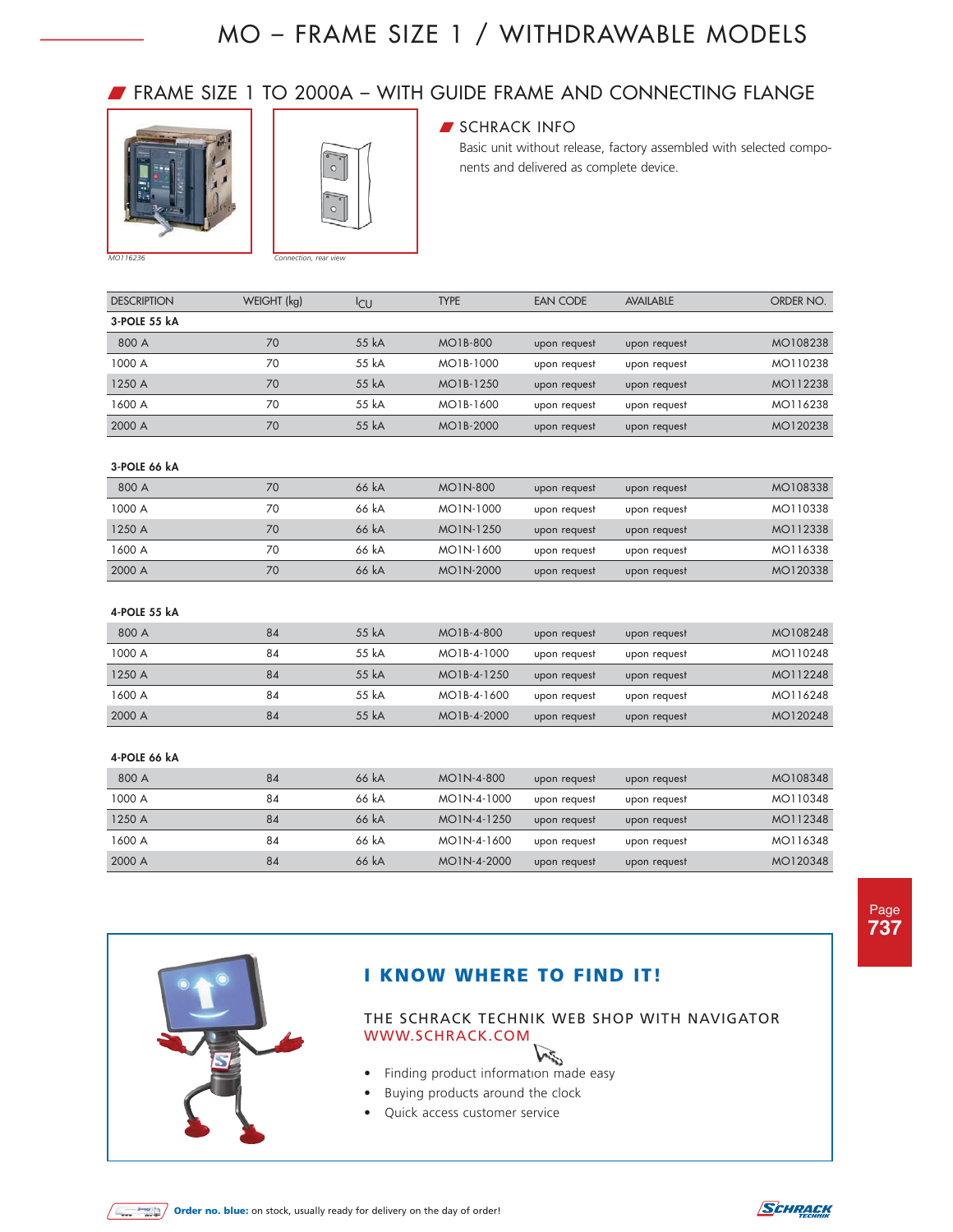### W FRAME SIZE 1 TO 2000A – WITH GUIDE FRAME AND CONNECTING FLANGE





### **SCHRACK INFO**

Basic unit without release, factory assembled with selected components and delivered as complete device.

| <b>DESCRIPTION</b> | WEIGHT (kg) | <sup>I</sup> CU | <b>TYPE</b> | <b>EAN CODE</b> | <b>AVAILABLE</b> | ORDER NO. |
|--------------------|-------------|-----------------|-------------|-----------------|------------------|-----------|
| 3-POLE 55 kA       |             |                 |             |                 |                  |           |
| 800 A              | 70          | 55 kA           | MO1B-800    | upon request    | upon request     | MO108238  |
| 1000 A             | 70          | 55 kA           | MO1B-1000   | upon request    | upon request     | MO110238  |
| 1250 A             | 70          | 55 kA           | MO1B-1250   | upon request    | upon request     | MO112238  |
| 1600 A             | 70          | 55 kA           | MO1B-1600   | upon request    | upon request     | MO116238  |
| 2000 A             | 70          | 55 kA           | MO1B-2000   | upon request    | upon request     | MO120238  |

#### **3-POLE 66 kA**

| 800 A  | 70 | 66 kA | MO1N-800  | upon request | upon request | MO108338 |
|--------|----|-------|-----------|--------------|--------------|----------|
| 1000 A | 70 | 66 kA | MO1N-1000 | upon request | upon request | MO110338 |
| 1250 A | 70 | 66 kA | MO1N-1250 | upon request | upon request | MO112338 |
| 1600 A | 70 | 66 kA | MO1N-1600 | upon request | upon request | MO116338 |
| 2000 A | 70 | 66 kA | MO1N-2000 | upon request | upon request | MO120338 |

#### **4-POLE 55 kA**

| 800 A  | 84 | 55 kA | MO1B-4-800  | upon request | upon request | MO108248 |
|--------|----|-------|-------------|--------------|--------------|----------|
| 1000 A | 84 | 55 kA | MO1B-4-1000 | upon request | upon request | MO110248 |
| 1250 A | 84 | 55 kA | MO1B-4-1250 | upon request | upon request | MO112248 |
| 1600 A | 84 | 55 kA | MO1B-4-1600 | upon request | upon request | MO116248 |
| 2000 A | 84 | 55 kA | MO1B-4-2000 | upon request | upon request | MO120248 |

#### **4-POLE 66 kA**

| 800 A  | 84 | 66 kA | MO1N-4-800  | upon request | upon request | MO108348 |
|--------|----|-------|-------------|--------------|--------------|----------|
| 1000 A | 84 | 66 kA | MO1N-4-1000 | upon request | upon request | MO110348 |
| 1250 A | 84 | 66 kA | MO1N-4-1250 | upon request | upon request | MO112348 |
| 1600 A | 84 | 66 kA | MO1N-4-1600 | upon request | upon request | MO116348 |
| 2000 A | 84 | 66 kA | MO1N-4-2000 | upon request | upon request | MO120348 |

Page **737**



### **I KNOW WHERE TO FIND IT!**

- Vin • Finding product information made easy
- Buying products around the clock
- Quick access customer service



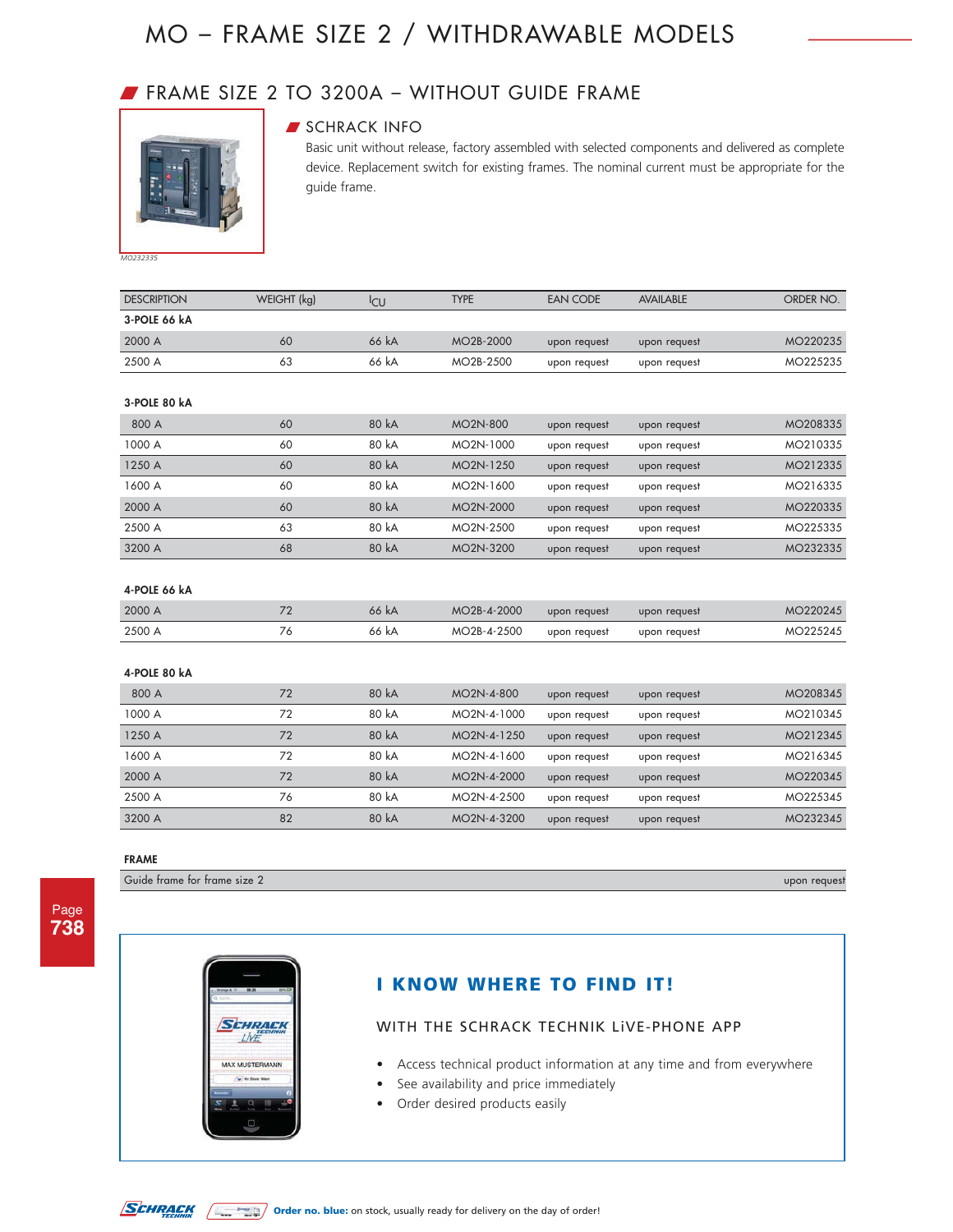### W FRAME SIZE 2 TO 3200A – WITHOUT GUIDE FRAME



### **SCHRACK INFO**

Basic unit without release, factory assembled with selected components and delivered as complete device. Replacement switch for existing frames. The nominal current must be appropriate for the guide frame.

*MO232335*

| <b>DESCRIPTION</b> | WEIGHT (kg) | <sup>I</sup> CU | <b>TYPE</b> | <b>EAN CODE</b> | <b>AVAILABLE</b> | ORDER NO. |
|--------------------|-------------|-----------------|-------------|-----------------|------------------|-----------|
| 3-POLE 66 kA       |             |                 |             |                 |                  |           |
| 2000 A             | 60          | 66 kA           | MO2B-2000   | upon request    | upon request     | MO220235  |
| 2500 A             | 63          | 66 kA           | MO2B-2500   | upon request    | upon request     | MO225235  |
|                    |             |                 |             |                 |                  |           |
| 3-POLE 80 kA       |             |                 |             |                 |                  |           |
| 800 A              | 60          | 80 kA           | MO2N-800    | upon request    | upon request     | MO208335  |
| 1000 A             | 60          | 80 kA           | MO2N-1000   | upon request    | upon request     | MO210335  |
| 1250 A             | 60          | 80 kA           | MO2N-1250   | upon request    | upon request     | MO212335  |
| 1600 A             | 60          | 80 kA           | MO2N-1600   | upon request    | upon request     | MO216335  |
| 2000 A             | 60          | 80 kA           | MO2N-2000   | upon request    | upon request     | MO220335  |
| 2500 A             | 63          | 80 kA           | MO2N-2500   | upon request    | upon request     | MO225335  |
| 3200 A             | 68          | 80 kA           | MO2N-3200   | upon request    | upon request     | MO232335  |
|                    |             |                 |             |                 |                  |           |
| 4-POLE 66 kA       |             |                 |             |                 |                  |           |
| 2000 A             | 72          | 66 kA           | MO2B-4-2000 | upon request    | upon request     | MO220245  |
| 2500 A             | 76          | 66 kA           | MO2B-4-2500 | upon request    | upon request     | MO225245  |
|                    |             |                 |             |                 |                  |           |
| 4-POLE 80 kA       |             |                 |             |                 |                  |           |
| 800 A              | 72          | 80 kA           | MO2N-4-800  | upon request    | upon request     | MO208345  |
| 1000 A             | 72          | 80 kA           | MO2N-4-1000 | upon request    | upon request     | MO210345  |
| 1250 A             | 72          | 80 kA           | MO2N-4-1250 | upon request    | upon request     | MO212345  |
| 1600 A             | 72          | 80 kA           | MO2N-4-1600 | upon request    | upon request     | MO216345  |
| 2000 A             | 72          | 80 kA           | MO2N-4-2000 | upon request    | upon request     | MO220345  |
| 2500 A             | 76          | 80 kA           | MO2N-4-2500 | upon request    | upon request     | MO225345  |
| 3200 A             | 82          | 80 kA           | MO2N-4-3200 | upon request    | upon request     | MO232345  |

**FRAME**

Guide frame for frame size 2 upon request

Page **738**



### **I KNOW WHERE TO FIND IT!**

- Access technical product information at any time and from everywhere
- See availability and price immediately
- Order desired products easily

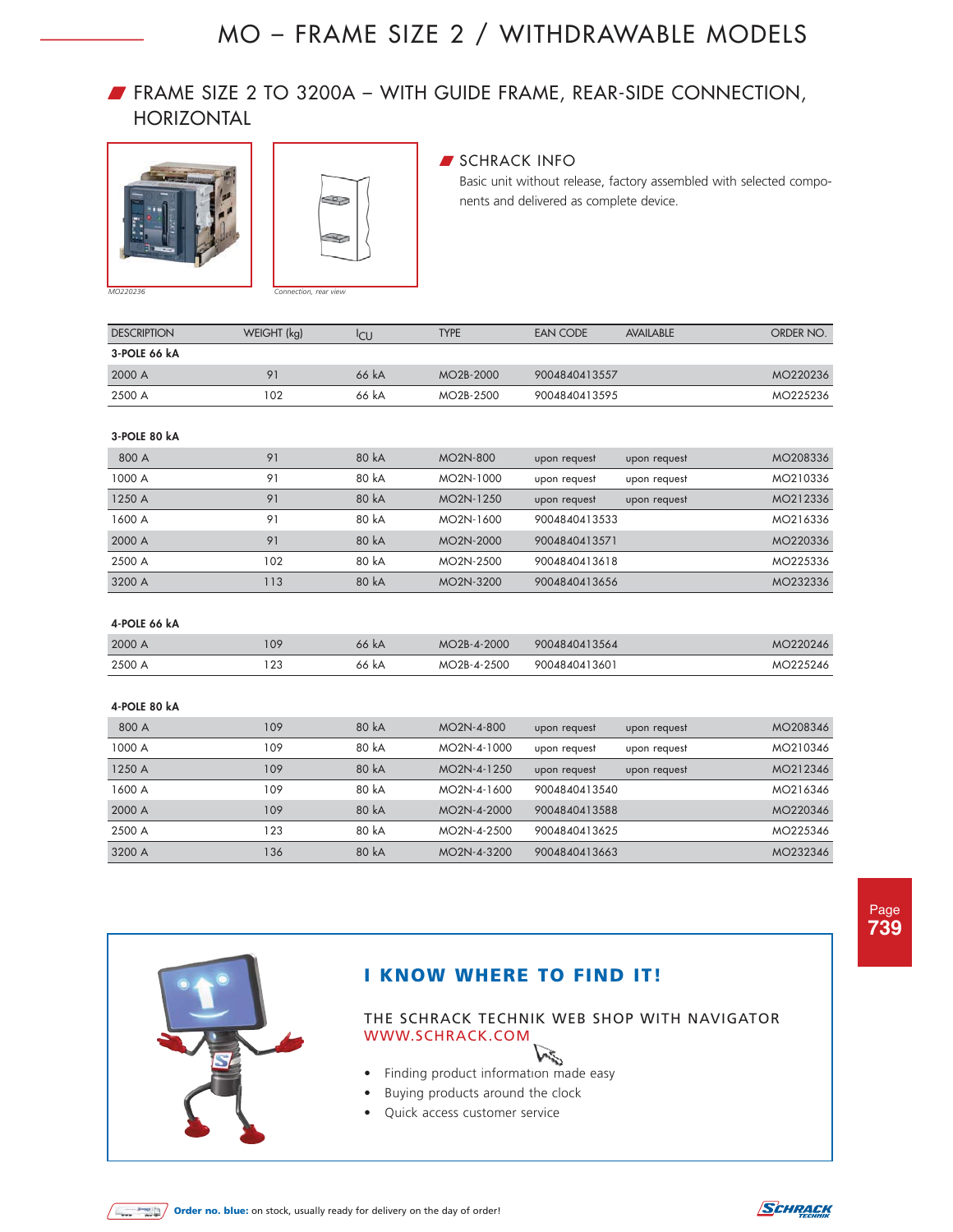### W FRAME SIZE 2 TO 3200A – WITH GUIDE FRAME, REAR-SIDE CONNECTION, HORIZONTAL





#### **SCHRACK INFO**

Basic unit without release, factory assembled with selected components and delivered as complete device.

| <b>DESCRIPTION</b> | WEIGHT (kg) | <sup>I</sup> CU | <b>TYPE</b>            | EAN CODE      | <b>AVAILABLE</b> | ORDER NO. |
|--------------------|-------------|-----------------|------------------------|---------------|------------------|-----------|
| 3-POLE 66 kA       |             |                 |                        |               |                  |           |
| 2000 A             | 01          | 66 kA           | MO <sub>2</sub> B-2000 | 9004840413557 |                  | MO220236  |
| 2500 A             | 02          | 66 kA           | MO2B-2500              | 9004840413595 |                  | MO225236  |

#### **3-POLE 80 kA**

| 800 A  | 91  | 80 kA | MO <sub>2</sub> N-800  | upon request  | upon request | MO208336 |
|--------|-----|-------|------------------------|---------------|--------------|----------|
| 1000 A | 91  | 80 kA | MO2N-1000              | upon request  | upon request | MO210336 |
| 1250 A | 91  | 80 kA | MO <sub>2</sub> N-1250 | upon request  | upon request | MO212336 |
| 1600 A | 91  | 80 kA | MO <sub>2N</sub> -1600 | 9004840413533 |              | MO216336 |
| 2000 A | 91  | 80 kA | MO <sub>2</sub> N-2000 | 9004840413571 |              | MO220336 |
| 2500 A | 102 | 80 kA | MO <sub>2</sub> N-2500 | 9004840413618 |              | MO225336 |
| 3200 A | 113 | 80 kA | MO <sub>2</sub> N-3200 | 9004840413656 |              | MO232336 |

#### **4-POLE 66 kA**

| 2000 A | 109                    | 66 kA      | MO2B-4-2000 | 9004840413564 | 220246<br>мc |
|--------|------------------------|------------|-------------|---------------|--------------|
| 2500 A | $\sim$<br>$\sim$<br>__ | - KA<br>הה | MO2B-4-2500 | 9004840413601 | 246<br>M     |

#### **4-POLE 80 kA**

| 800 A  | 109 | 80 kA | MO <sub>2N</sub> -4-800  | upon request  | upon request | MO208346 |
|--------|-----|-------|--------------------------|---------------|--------------|----------|
| 1000 A | 109 | 80 kA | MO <sub>2N</sub> -4-1000 | upon request  | upon request | MO210346 |
| 1250 A | 109 | 80 kA | MO <sub>2</sub> N-4-1250 | upon request  | upon request | MO212346 |
| 1600 A | 109 | 80 kA | MO <sub>2N</sub> -4-1600 | 9004840413540 |              | MO216346 |
| 2000 A | 109 | 80 kA | MO <sub>2N</sub> -4-2000 | 9004840413588 |              | MO220346 |
| 2500 A | 123 | 80 kA | MO <sub>2N</sub> -4-2500 | 9004840413625 |              | MO225346 |
| 3200 A | 136 | 80 kA | MO <sub>2</sub> N-4-3200 | 9004840413663 |              | MO232346 |

Page **739**



### **I KNOW WHERE TO FIND IT!**

- Vince • Finding product information made easy
- Buying products around the clock
- Quick access customer service



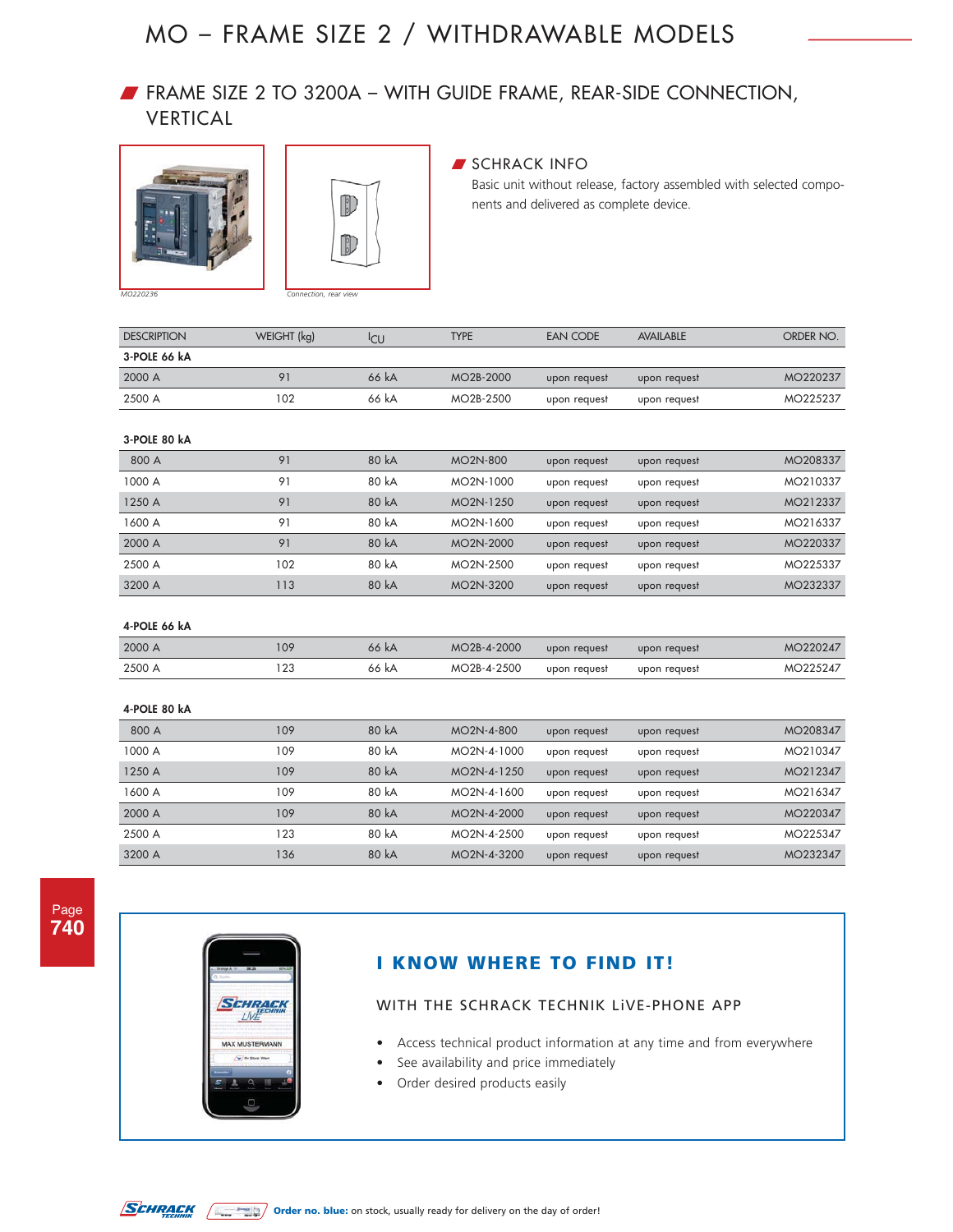## W FRAME SIZE 2 TO 3200A – WITH GUIDE FRAME, REAR-SIDE CONNECTION, VERTICAL





### **SCHRACK INFO**

Basic unit without release, factory assembled with selected components and delivered as complete device.

| <b>DESCRIPTION</b> | WEIGHT (kg) | <b>I</b> CU | <b>TYPE</b>     | <b>EAN CODE</b> | <b>AVAILABLE</b> | ORDER NO. |
|--------------------|-------------|-------------|-----------------|-----------------|------------------|-----------|
| 3-POLE 66 kA       |             |             |                 |                 |                  |           |
| 2000 A             | 91          | 66 kA       | MO2B-2000       | upon request    | upon request     | MO220237  |
| 2500 A             | 102         | 66 kA       | MO2B-2500       | upon request    | upon request     | MO225237  |
|                    |             |             |                 |                 |                  |           |
| 3-POLE 80 kA       |             |             |                 |                 |                  |           |
| 800 A              | 91          | 80 kA       | <b>MO2N-800</b> | upon request    | upon request     | MO208337  |
| 1000 A             | 91          | 80 kA       | MO2N-1000       | upon request    | upon request     | MO210337  |
| 1250 A             | 91          | 80 kA       | MO2N-1250       | upon request    | upon request     | MO212337  |
| 1600 A             | 91          | 80 kA       | MO2N-1600       | upon request    | upon request     | MO216337  |
| 2000 A             | 91          | 80 kA       | MO2N-2000       | upon request    | upon request     | MO220337  |
| 2500 A             | 102         | 80 kA       | MO2N-2500       | upon request    | upon request     | MO225337  |
| 3200 A             | 113         | 80 kA       | MO2N-3200       | upon request    | upon request     | MO232337  |
|                    |             |             |                 |                 |                  |           |
| 4-POLE 66 kA       |             |             |                 |                 |                  |           |
| 2000 A             | 109         | 66 kA       | MO2B-4-2000     | upon request    | upon request     | MO220247  |
| 2500 A             | 123         | 66 kA       | MO2B-4-2500     | upon request    | upon request     | MO225247  |
|                    |             |             |                 |                 |                  |           |
| 4-POLE 80 kA       |             |             |                 |                 |                  |           |
| 800 A              | 109         | 80 kA       | MO2N-4-800      | upon request    | upon request     | MO208347  |
| 1000 A             | 109         | 80 kA       | MO2N-4-1000     | upon request    | upon request     | MO210347  |
| 1250 A             | 109         | 80 kA       | MO2N-4-1250     | upon request    | upon request     | MO212347  |
| 1600 A             | 109         | 80 kA       | MO2N-4-1600     | upon request    | upon request     | MO216347  |

2000 A 109 80 kA MO2N-4-2000 upon request upon request MO220347 2500 A 123 80 kA MO2N-4-2500 upon request upon request MO225347 3200 A 136 80 kA MO2N-4-3200 upon request upon request MO232347

| ۰ |  |
|---|--|
|   |  |



### **I KNOW WHERE TO FIND IT!**

- Access technical product information at any time and from everywhere
- See availability and price immediately
- Order desired products easily

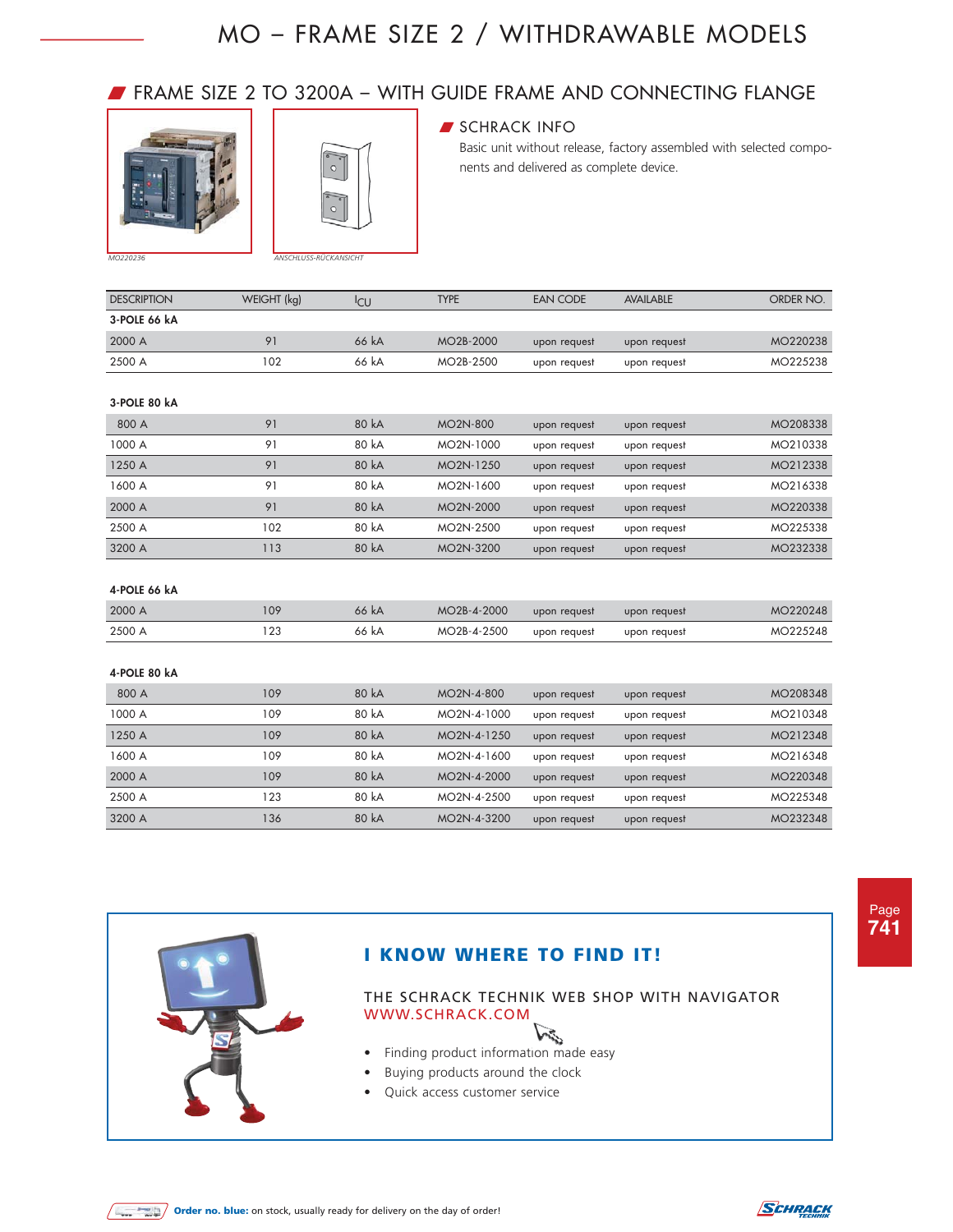### W FRAME SIZE 2 TO 3200A – WITH GUIDE FRAME AND CONNECTING FLANGE





### **SCHRACK INFO**

Basic unit without release, factory assembled with selected components and delivered as complete device.

| <b>DESCRIPTION</b> | WEIGHT (kg) | <b>CU</b> | <b>TYPE</b>            | EAN CODE     | <b>AVAILABLE</b> | ORDER NO. |
|--------------------|-------------|-----------|------------------------|--------------|------------------|-----------|
| 3-POLE 66 kA       |             |           |                        |              |                  |           |
| 2000 A             | 91          | 66 kA     | MO <sub>2</sub> B-2000 | upon request | upon request     | MO220238  |
| 2500 A             | 102         | 66 kA     | MO2B-2500              | upon request | upon request     | MO225238  |
|                    |             |           |                        |              |                  |           |

#### **3-POLE 80 kA**

| 800 A  | 91  | 80 kA | MO <sub>2</sub> N-800  | upon request | upon request | MO208338 |
|--------|-----|-------|------------------------|--------------|--------------|----------|
| 1000 A | 91  | 80 kA | MO2N-1000              | upon request | upon request | MO210338 |
| 1250 A | 91  | 80 kA | MO <sub>2</sub> N-1250 | upon request | upon request | MO212338 |
| 1600 A | 91  | 80 kA | MO2N-1600              | upon request | upon request | MO216338 |
| 2000 A | 91  | 80 kA | MO <sub>2</sub> N-2000 | upon request | upon request | MO220338 |
| 2500 A | 102 | 80 kA | MO2N-2500              | upon request | upon request | MO225338 |
| 3200 A | 113 | 80 kA | MO <sub>2</sub> N-3200 | upon request | upon request | MO232338 |

#### **4-POLE 66 kA**

| 2000 A | 109 | 66 kA | MO2B-4-2000 | upon request | upon request | MO220248 |
|--------|-----|-------|-------------|--------------|--------------|----------|
| 2500 A |     | 66 kA | MO2B-4-2500 | upon request | upon request | MO225248 |

#### **4-POLE 80 kA**

| 800 A  | 109 | 80 kA | MO <sub>2N</sub> -4-800  | upon request | upon request | MO208348 |
|--------|-----|-------|--------------------------|--------------|--------------|----------|
| 1000 A | 109 | 80 kA | MO <sub>2</sub> N-4-1000 | upon request | upon request | MO210348 |
| 1250 A | 109 | 80 kA | MO <sub>2</sub> N-4-1250 | upon request | upon request | MO212348 |
| 1600 A | 109 | 80 kA | MO <sub>2</sub> N-4-1600 | upon request | upon request | MO216348 |
| 2000 A | 109 | 80 kA | MO <sub>2N</sub> -4-2000 | upon request | upon request | MO220348 |
| 2500 A | 123 | 80 kA | MO <sub>2N</sub> -4-2500 | upon request | upon request | MO225348 |
| 3200 A | 136 | 80 kA | MO <sub>2</sub> N-4-3200 | upon request | upon request | MO232348 |



### **I KNOW WHERE TO FIND IT!**

- Finding product information made easy
- Buying products around the clock
- Quick access customer service



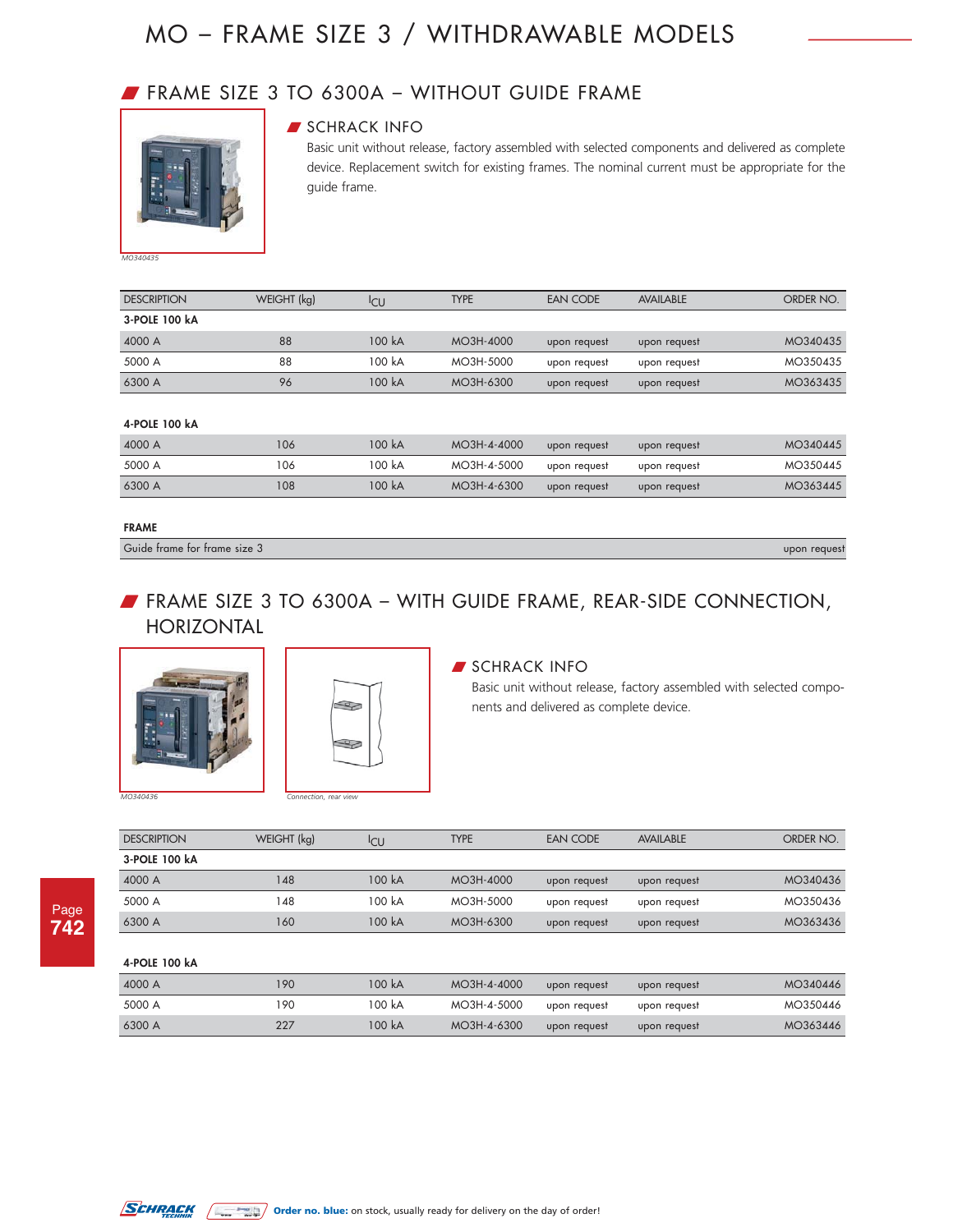## W FRAME SIZE 3 TO 6300A – WITHOUT GUIDE FRAME



### **SCHRACK INFO**

Basic unit without release, factory assembled with selected components and delivered as complete device. Replacement switch for existing frames. The nominal current must be appropriate for the guide frame.

| <b>DESCRIPTION</b> | WEIGHT (kg) | <sup>I</sup> CU | <b>TYPE</b> | EAN CODE     | <b>AVAILABLE</b> | ORDER NO. |
|--------------------|-------------|-----------------|-------------|--------------|------------------|-----------|
| 3-POLE 100 kA      |             |                 |             |              |                  |           |
| 4000 A             | 88          | 100 kA          | MO3H-4000   | upon request | upon request     | MO340435  |
| 5000 A             | 88          | 100 kA          | MO3H-5000   | upon request | upon request     | MO350435  |
| 6300 A             | 96          | 100 kA          | MO3H-6300   | upon request | upon request     | MO363435  |

#### **4-POLE 100 kA**

| 4000 A | 106 | 100 kA | MO3H-4-4000 | upon request | upon request | MO340445 |
|--------|-----|--------|-------------|--------------|--------------|----------|
| 5000 A | 106 | 100 kA | MO3H-4-5000 | upon request | upon request | MO350445 |
| 6300 A | 108 | 100 kA | MO3H-4-6300 | upon request | upon request | MO363445 |

#### **FRAME**

Guide frame for frame size 3 upon request

### W FRAME SIZE 3 TO 6300A – WITH GUIDE FRAME, REAR-SIDE CONNECTION, HORIZONTAL





### **SCHRACK INFO**

Basic unit without release, factory assembled with selected components and delivered as complete device.

| <b>DESCRIPTION</b> | WEIGHT (kg) | <sup>I</sup> CU | <b>TYPE</b> | <b>EAN CODE</b> | <b>AVAILABLE</b> | ORDER NO. |
|--------------------|-------------|-----------------|-------------|-----------------|------------------|-----------|
| 3-POLE 100 kA      |             |                 |             |                 |                  |           |
| 4000 A             | 148         | 100 kA          | MO3H-4000   | upon request    | upon request     | MO340436  |
| 5000 A             | 148         | 100 kA          | MO3H-5000   | upon request    | upon request     | MO350436  |
| 6300 A             | 160         | 100 kA          | MO3H-6300   | upon request    | upon request     | MO363436  |
|                    |             |                 |             |                 |                  |           |
| 4-POLE 100 kA      |             |                 |             |                 |                  |           |
| 4000 A             | 190         | 100 kA          | MO3H-4-4000 | upon request    | upon request     | MO340446  |
| 5000 A             | 190         | 100 kA          | MO3H-4-5000 | upon request    | upon request     | MO350446  |
| 6300 A             | 227         | 100 kA          | MO3H-4-6300 | upon request    | upon request     | MO363446  |
|                    |             |                 |             |                 |                  |           |